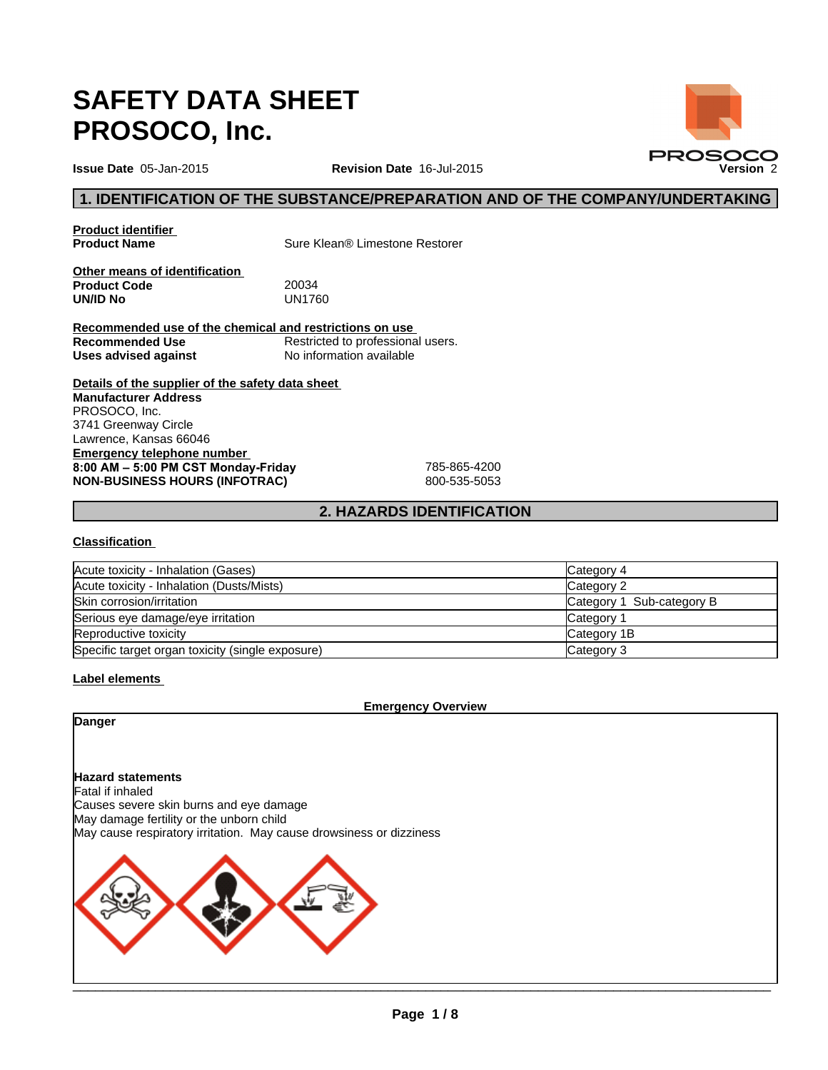# **SAFETY DATA SHEET PROSOCO, Inc.**

**Issue Date** 05-Jan-2015

**Revision Date** 16-Jul-2015

# **1. IDENTIFICATION OF THE SUBSTANCE/PREPARATION AND OF THE COMPANY/UNDERTAKING**

# **Product identifier<br>Product Name**

**Sure Klean® Limestone Restorer** 

**Other means of identification Product Code** 20034 **UN/ID No** 

**Recommended use of the chemical and restrictions on use Recommended Use** Restricted to professional users.<br>
Uses advised against<br>
No information available **Uses advised against** 

**Details of the supplier of the safety data sheet Emergency telephone number 8:00AM–5:00PMCSTMonday-Friday** 785-865-4200 **NON-BUSINESS HOURS (INFOTRAC)** 800-535-5053 **Manufacturer Address** PROSOCO, Inc. 3741 Greenway Circle Lawrence, Kansas 66046

# **2. HAZARDS IDENTIFICATION**

#### **Classification**

| Acute toxicity - Inhalation (Gases)              | Category 4                |
|--------------------------------------------------|---------------------------|
| Acute toxicity - Inhalation (Dusts/Mists)        | Category 2                |
| Skin corrosion/irritation                        | Category 1 Sub-category B |
| Serious eye damage/eye irritation                | Category 1                |
| Reproductive toxicity                            | Category 1B               |
| Specific target organ toxicity (single exposure) | Category 3                |

#### **Label elements**

**Emergency Overview**

**Danger**

**Hazard statements** Fatal if inhaled Causes severe skin burns and eye damage May damage fertility or the unborn child May cause respiratory irritation. May cause drowsiness or dizziness



 $\mathcal{L} = \{ \mathcal{L} = \{ \mathcal{L} = \mathcal{L} \}$ 

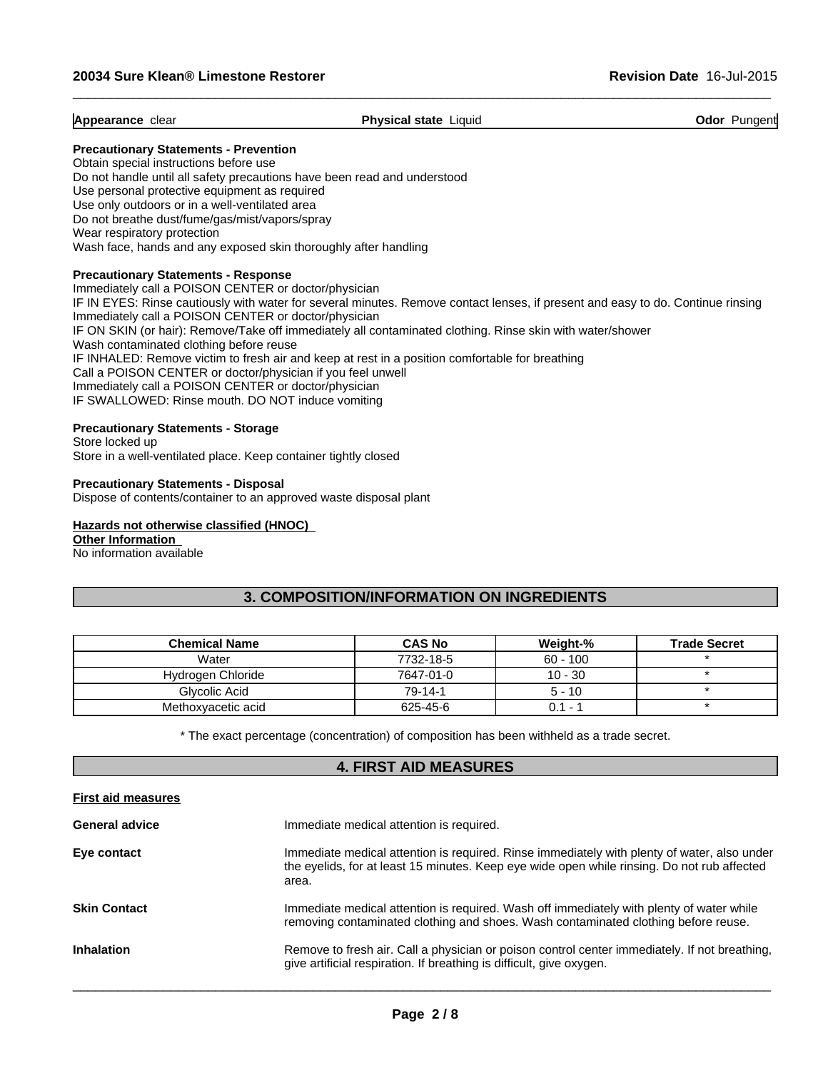**Appearance** clear **Physical state** Liquid **Odor** Pungent

 $\_$  ,  $\_$  ,  $\_$  ,  $\_$  ,  $\_$  ,  $\_$  ,  $\_$  ,  $\_$  ,  $\_$  ,  $\_$  ,  $\_$  ,  $\_$  ,  $\_$  ,  $\_$  ,  $\_$  ,  $\_$  ,  $\_$  ,  $\_$  ,  $\_$  ,  $\_$  ,  $\_$  ,  $\_$  ,  $\_$  ,  $\_$  ,  $\_$  ,  $\_$  ,  $\_$  ,  $\_$  ,  $\_$  ,  $\_$  ,  $\_$  ,  $\_$  ,  $\_$  ,  $\_$  ,  $\_$  ,  $\_$  ,  $\_$  ,

#### **Precautionary Statements - Prevention**

Obtain special instructions before use Do not handle until all safety precautions have been read and understood Use personal protective equipment as required Use only outdoors or in a well-ventilated area Do not breathe dust/fume/gas/mist/vapors/spray Wear respiratory protection Wash face, hands and any exposed skin thoroughly after handling

#### **Precautionary Statements - Response**

Immediately call a POISON CENTER or doctor/physician IF IN EYES: Rinse cautiously with water for several minutes. Remove contact lenses, if present and easy to do. Continue rinsing Immediately call a POISON CENTER or doctor/physician IF ON SKIN (or hair): Remove/Take off immediately all contaminated clothing. Rinse skin with water/shower Wash contaminated clothing before reuse IF INHALED: Remove victim to fresh air and keep at rest in a position comfortable for breathing Call a POISON CENTER or doctor/physician if you feel unwell Immediately call a POISON CENTER or doctor/physician IF SWALLOWED: Rinse mouth. DO NOT induce vomiting

#### **Precautionary Statements - Storage**

Store locked up Store in a well-ventilated place. Keep container tightly closed

**Precautionary Statements - Disposal** Dispose of contents/container to an approved waste disposal plant

#### **Hazards not otherwise classified (HNOC)**

**Other Information** 

No information available

# **3. COMPOSITION/INFORMATION ON INGREDIENTS**

| <b>Chemical Name</b> | <b>CAS No</b> | Weight-%                        | <b>Trade Secret</b> |
|----------------------|---------------|---------------------------------|---------------------|
| Water                | 7732-18-5     | $60 - 100$                      |                     |
| Hydrogen Chloride    | 7647-01-0     | $10 - 30$                       |                     |
| Glycolic Acid        | $79-14-1$     | $5 - 10$                        |                     |
| Methoxyacetic acid   | 625-45-6      | 0.1<br>$\overline{\phantom{0}}$ |                     |

\* The exact percentage (concentration) of composition has been withheld as a trade secret.

# **4. FIRST AID MEASURES**

| <b>First aid measures</b> |                                                                                                                                                                                                     |
|---------------------------|-----------------------------------------------------------------------------------------------------------------------------------------------------------------------------------------------------|
| <b>General advice</b>     | Immediate medical attention is required.                                                                                                                                                            |
| Eye contact               | Immediate medical attention is required. Rinse immediately with plenty of water, also under<br>the eyelids, for at least 15 minutes. Keep eye wide open while rinsing. Do not rub affected<br>area. |
| <b>Skin Contact</b>       | Immediate medical attention is required. Wash off immediately with plenty of water while<br>removing contaminated clothing and shoes. Wash contaminated clothing before reuse.                      |
| <b>Inhalation</b>         | Remove to fresh air. Call a physician or poison control center immediately. If not breathing,<br>give artificial respiration. If breathing is difficult, give oxygen.                               |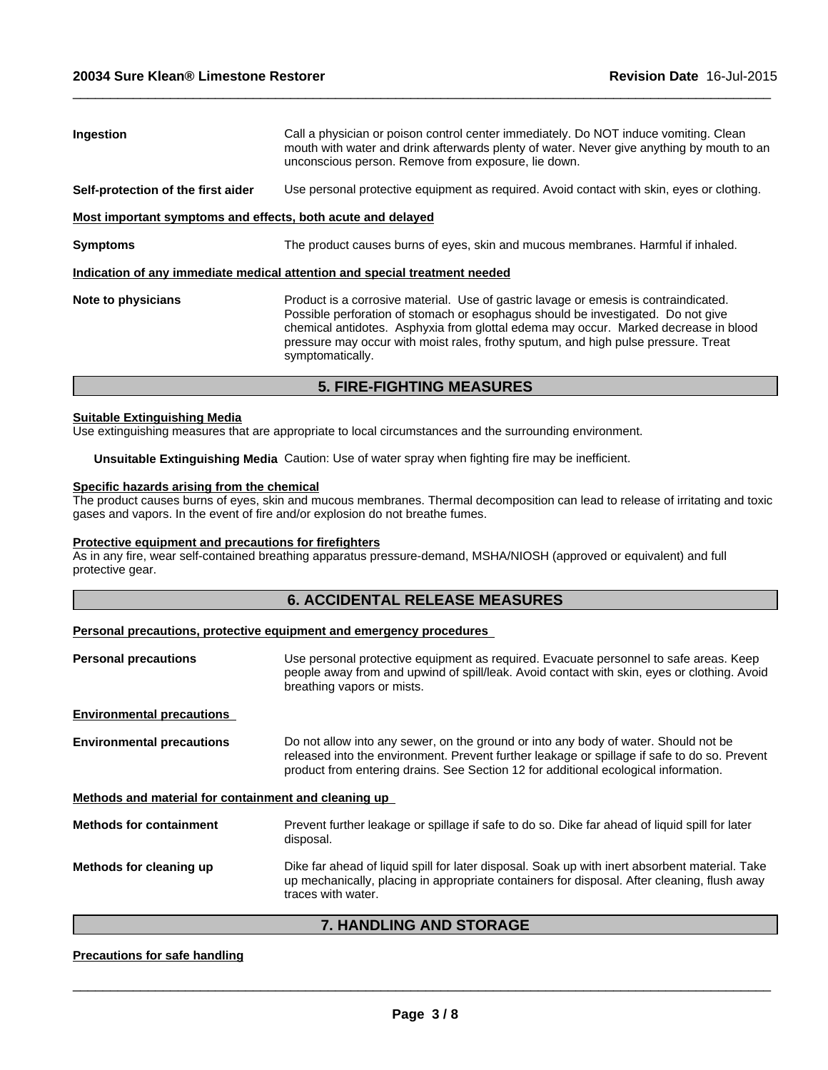| <b>Ingestion</b>                                            | Call a physician or poison control center immediately. Do NOT induce vomiting. Clean<br>mouth with water and drink afterwards plenty of water. Never give anything by mouth to an<br>unconscious person. Remove from exposure, lie down.                                                                                                                                  |
|-------------------------------------------------------------|---------------------------------------------------------------------------------------------------------------------------------------------------------------------------------------------------------------------------------------------------------------------------------------------------------------------------------------------------------------------------|
| Self-protection of the first aider                          | Use personal protective equipment as required. Avoid contact with skin, eyes or clothing.                                                                                                                                                                                                                                                                                 |
| Most important symptoms and effects, both acute and delayed |                                                                                                                                                                                                                                                                                                                                                                           |
| <b>Symptoms</b>                                             | The product causes burns of eyes, skin and mucous membranes. Harmful if inhaled.                                                                                                                                                                                                                                                                                          |
|                                                             | Indication of any immediate medical attention and special treatment needed                                                                                                                                                                                                                                                                                                |
| Note to physicians                                          | Product is a corrosive material. Use of gastric lavage or emesis is contraindicated.<br>Possible perforation of stomach or esophagus should be investigated. Do not give<br>chemical antidotes. Asphyxia from glottal edema may occur. Marked decrease in blood<br>pressure may occur with moist rales, frothy sputum, and high pulse pressure. Treat<br>symptomatically. |

 $\_$  ,  $\_$  ,  $\_$  ,  $\_$  ,  $\_$  ,  $\_$  ,  $\_$  ,  $\_$  ,  $\_$  ,  $\_$  ,  $\_$  ,  $\_$  ,  $\_$  ,  $\_$  ,  $\_$  ,  $\_$  ,  $\_$  ,  $\_$  ,  $\_$  ,  $\_$  ,  $\_$  ,  $\_$  ,  $\_$  ,  $\_$  ,  $\_$  ,  $\_$  ,  $\_$  ,  $\_$  ,  $\_$  ,  $\_$  ,  $\_$  ,  $\_$  ,  $\_$  ,  $\_$  ,  $\_$  ,  $\_$  ,  $\_$  ,

# **5. FIRE-FIGHTING MEASURES**

#### **Suitable Extinguishing Media**

Use extinguishing measures that are appropriate to local circumstances and the surrounding environment.

**Unsuitable Extinguishing Media** Caution: Use of water spray when fighting fire may be inefficient.

#### **Specific hazards arising from the chemical**

The product causes burns of eyes, skin and mucous membranes. Thermal decomposition can lead to release of irritating and toxic gases and vapors. In the event of fire and/or explosion do not breathe fumes.

#### **Protective equipment and precautions for firefighters**

As in any fire, wear self-contained breathing apparatus pressure-demand, MSHA/NIOSH (approved or equivalent) and full protective gear.

#### **6. ACCIDENTAL RELEASE MEASURES**

#### **Personal precautions, protective equipment and emergency procedures**

| Use personal protective equipment as required. Evacuate personnel to safe areas. Keep<br>people away from and upwind of spill/leak. Avoid contact with skin, eyes or clothing. Avoid<br>breathing vapors or mists.                                                         |
|----------------------------------------------------------------------------------------------------------------------------------------------------------------------------------------------------------------------------------------------------------------------------|
|                                                                                                                                                                                                                                                                            |
| Do not allow into any sewer, on the ground or into any body of water. Should not be<br>released into the environment. Prevent further leakage or spillage if safe to do so. Prevent<br>product from entering drains. See Section 12 for additional ecological information. |
| Methods and material for containment and cleaning up                                                                                                                                                                                                                       |
| Prevent further leakage or spillage if safe to do so. Dike far ahead of liquid spill for later<br>disposal.                                                                                                                                                                |
| Dike far ahead of liquid spill for later disposal. Soak up with inert absorbent material. Take<br>up mechanically, placing in appropriate containers for disposal. After cleaning, flush away<br>traces with water.                                                        |
|                                                                                                                                                                                                                                                                            |

# **7. HANDLING AND STORAGE**

#### **Precautions for safe handling**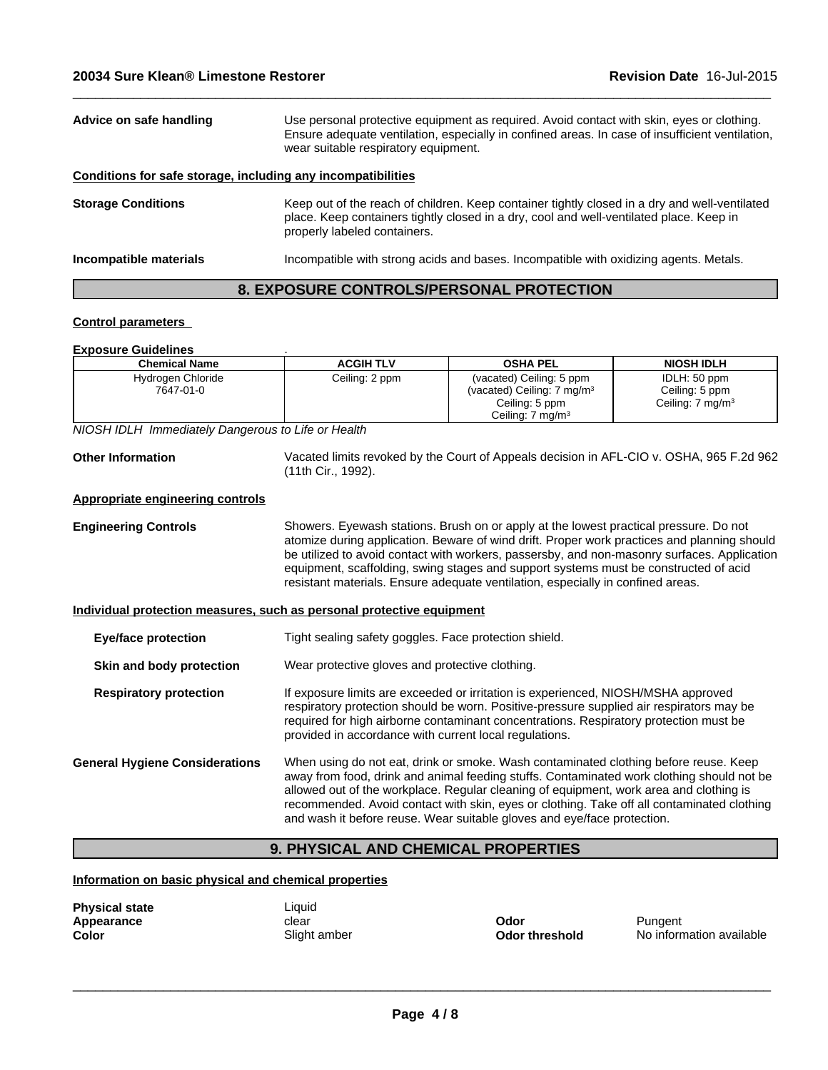| Advice on safe handling                                      | Use personal protective equipment as required. Avoid contact with skin, eyes or clothing.<br>Ensure adequate ventilation, especially in confined areas. In case of insufficient ventilation,<br>wear suitable respiratory equipment. |
|--------------------------------------------------------------|--------------------------------------------------------------------------------------------------------------------------------------------------------------------------------------------------------------------------------------|
| Conditions for safe storage, including any incompatibilities |                                                                                                                                                                                                                                      |
| <b>Storage Conditions</b>                                    | Keep out of the reach of children. Keep container tightly closed in a dry and well-ventilated<br>place. Keep containers tightly closed in a dry, cool and well-ventilated place. Keep in<br>properly labeled containers.             |
| Incompatible materials                                       | Incompatible with strong acids and bases. Incompatible with oxidizing agents. Metals.                                                                                                                                                |
|                                                              |                                                                                                                                                                                                                                      |

 $\_$  ,  $\_$  ,  $\_$  ,  $\_$  ,  $\_$  ,  $\_$  ,  $\_$  ,  $\_$  ,  $\_$  ,  $\_$  ,  $\_$  ,  $\_$  ,  $\_$  ,  $\_$  ,  $\_$  ,  $\_$  ,  $\_$  ,  $\_$  ,  $\_$  ,  $\_$  ,  $\_$  ,  $\_$  ,  $\_$  ,  $\_$  ,  $\_$  ,  $\_$  ,  $\_$  ,  $\_$  ,  $\_$  ,  $\_$  ,  $\_$  ,  $\_$  ,  $\_$  ,  $\_$  ,  $\_$  ,  $\_$  ,  $\_$  ,

# **8. EXPOSURE CONTROLS/PERSONAL PROTECTION**

#### **Control parameters**

#### **Exposure Guidelines** .

| <b>Chemical Name</b>           | <b>ACGIH TLV</b> | <b>OSHA PEL</b>                                                                                                      | <b>NIOSH IDLH</b>                                             |
|--------------------------------|------------------|----------------------------------------------------------------------------------------------------------------------|---------------------------------------------------------------|
| Hydrogen Chloride<br>7647-01-0 | Ceiling: 2 ppm   | (vacated) Ceiling: 5 ppm<br>(vacated) Ceiling: 7 mg/m <sup>3</sup><br>Ceiling: 5 ppm<br>Ceiling: 7 mg/m <sup>3</sup> | IDLH: 50 ppm<br>Ceiling: 5 ppm<br>Ceiling: $7 \text{ mg/m}^3$ |

*NIOSH IDLH Immediately Dangerous to Life or Health*

| <b>Other Information</b> | Vacated limits revoked by the Court of Appeals decision in AFL-CIO v. OSHA, 965 F.2d 962 |
|--------------------------|------------------------------------------------------------------------------------------|
|                          | (11th Cir., 1992).                                                                       |

#### **Appropriate engineering controls**

**Engineering Controls** Showers. Eyewash stations. Brush on or apply at the lowest practical pressure. Do not atomize during application. Beware of wind drift. Proper work practices and planning should be utilized to avoid contact with workers, passersby, and non-masonry surfaces. Application equipment, scaffolding, swing stages and support systems must be constructed of acid resistant materials. Ensure adequate ventilation, especially in confined areas.

#### **Individual protection measures, such as personal protective equipment**

| Tight sealing safety goggles. Face protection shield.                                                                                                                                                                                                                                                                                                                                                                                                |
|------------------------------------------------------------------------------------------------------------------------------------------------------------------------------------------------------------------------------------------------------------------------------------------------------------------------------------------------------------------------------------------------------------------------------------------------------|
| Wear protective gloves and protective clothing.                                                                                                                                                                                                                                                                                                                                                                                                      |
| If exposure limits are exceeded or irritation is experienced, NIOSH/MSHA approved<br>respiratory protection should be worn. Positive-pressure supplied air respirators may be<br>required for high airborne contaminant concentrations. Respiratory protection must be<br>provided in accordance with current local regulations.                                                                                                                     |
| When using do not eat, drink or smoke. Wash contaminated clothing before reuse. Keep<br>away from food, drink and animal feeding stuffs. Contaminated work clothing should not be<br>allowed out of the workplace. Regular cleaning of equipment, work area and clothing is<br>recommended. Avoid contact with skin, eyes or clothing. Take off all contaminated clothing<br>and wash it before reuse. Wear suitable gloves and eye/face protection. |
|                                                                                                                                                                                                                                                                                                                                                                                                                                                      |

# **9. PHYSICAL AND CHEMICAL PROPERTIES**

#### **Information on basic physical and chemical properties**

| <b>Physical state</b> | Liquid       |
|-----------------------|--------------|
| Appearance            | clear        |
| Color                 | Slight amber |

**Odor** Pungent

 $\overline{\phantom{a}}$  ,  $\overline{\phantom{a}}$  ,  $\overline{\phantom{a}}$  ,  $\overline{\phantom{a}}$  ,  $\overline{\phantom{a}}$  ,  $\overline{\phantom{a}}$  ,  $\overline{\phantom{a}}$  ,  $\overline{\phantom{a}}$  ,  $\overline{\phantom{a}}$  ,  $\overline{\phantom{a}}$  ,  $\overline{\phantom{a}}$  ,  $\overline{\phantom{a}}$  ,  $\overline{\phantom{a}}$  ,  $\overline{\phantom{a}}$  ,  $\overline{\phantom{a}}$  ,  $\overline{\phantom{a}}$ 

**Odor threshold** No information available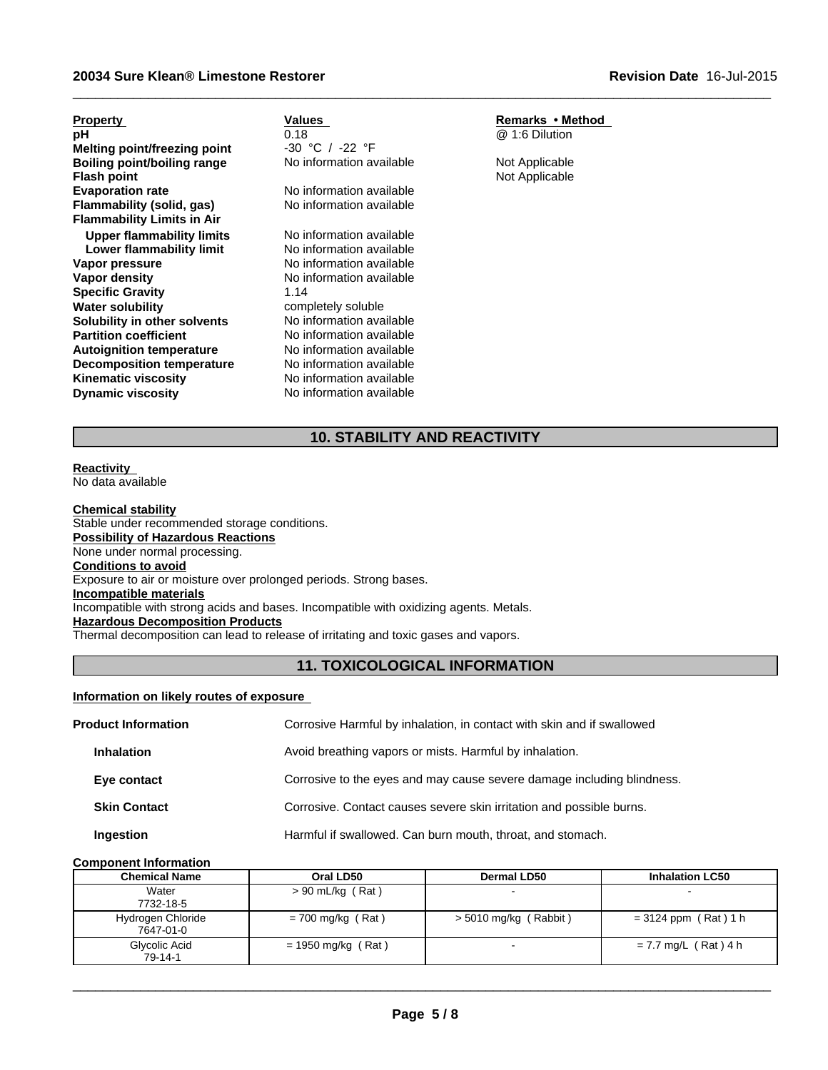#### **20034 Sure Klean® Limestone Restorer**

| <b>Property</b>                    | Values                   | Remarks • Method |
|------------------------------------|--------------------------|------------------|
| рH                                 | 0.18                     | @ 1:6 Dilution   |
| Melting point/freezing point       | -30 °C / -22 °F          |                  |
| <b>Boiling point/boiling range</b> | No information available | Not Applicable   |
| <b>Flash point</b>                 |                          | Not Applicable   |
| <b>Evaporation rate</b>            | No information available |                  |
| Flammability (solid, gas)          | No information available |                  |
| <b>Flammability Limits in Air</b>  |                          |                  |
| Upper flammability limits          | No information available |                  |
| Lower flammability limit           | No information available |                  |
| Vapor pressure                     | No information available |                  |
| Vapor density                      | No information available |                  |
| <b>Specific Gravity</b>            | 1.14                     |                  |
| <b>Water solubility</b>            | completely soluble       |                  |
| Solubility in other solvents       | No information available |                  |
| <b>Partition coefficient</b>       | No information available |                  |
| <b>Autoignition temperature</b>    | No information available |                  |
| <b>Decomposition temperature</b>   | No information available |                  |
| <b>Kinematic viscosity</b>         | No information available |                  |
| <b>Dynamic viscosity</b>           | No information available |                  |

# **10. STABILITY AND REACTIVITY**

 $\_$  ,  $\_$  ,  $\_$  ,  $\_$  ,  $\_$  ,  $\_$  ,  $\_$  ,  $\_$  ,  $\_$  ,  $\_$  ,  $\_$  ,  $\_$  ,  $\_$  ,  $\_$  ,  $\_$  ,  $\_$  ,  $\_$  ,  $\_$  ,  $\_$  ,  $\_$  ,  $\_$  ,  $\_$  ,  $\_$  ,  $\_$  ,  $\_$  ,  $\_$  ,  $\_$  ,  $\_$  ,  $\_$  ,  $\_$  ,  $\_$  ,  $\_$  ,  $\_$  ,  $\_$  ,  $\_$  ,  $\_$  ,  $\_$  ,

**Reactivity**  No data available

**Chemical stability** Stable under recommended storage conditions. **Possibility of Hazardous Reactions** None under normal processing. **Conditions to avoid** Exposure to air or moisture over prolonged periods. Strong bases. **Incompatible materials** Incompatible with strong acids and bases. Incompatible with oxidizing agents. Metals. **Hazardous Decomposition Products** Thermal decomposition can lead to release of irritating and toxic gases and vapors.

# **11. TOXICOLOGICAL INFORMATION**

#### **Information on likely routes of exposure**

| <b>Product Information</b> |                     | Corrosive Harmful by inhalation, in contact with skin and if swallowed |
|----------------------------|---------------------|------------------------------------------------------------------------|
|                            | <b>Inhalation</b>   | Avoid breathing vapors or mists. Harmful by inhalation.                |
|                            | Eye contact         | Corrosive to the eyes and may cause severe damage including blindness. |
|                            | <b>Skin Contact</b> | Corrosive. Contact causes severe skin irritation and possible burns.   |
|                            | Ingestion           | Harmful if swallowed. Can burn mouth, throat, and stomach.             |

#### **Component Information**

| <b>Chemical Name</b>           | Oral LD50            | Dermal LD50           | <b>Inhalation LC50</b> |
|--------------------------------|----------------------|-----------------------|------------------------|
| Water<br>7732-18-5             | $> 90$ mL/kg (Rat)   |                       |                        |
| Hydrogen Chloride<br>7647-01-0 | $= 700$ mg/kg (Rat)  | > 5010 mg/kg (Rabbit) | $= 3124$ ppm (Rat) 1 h |
| Glycolic Acid<br>79-14-1       | $= 1950$ mg/kg (Rat) |                       | $= 7.7$ mg/L (Rat) 4 h |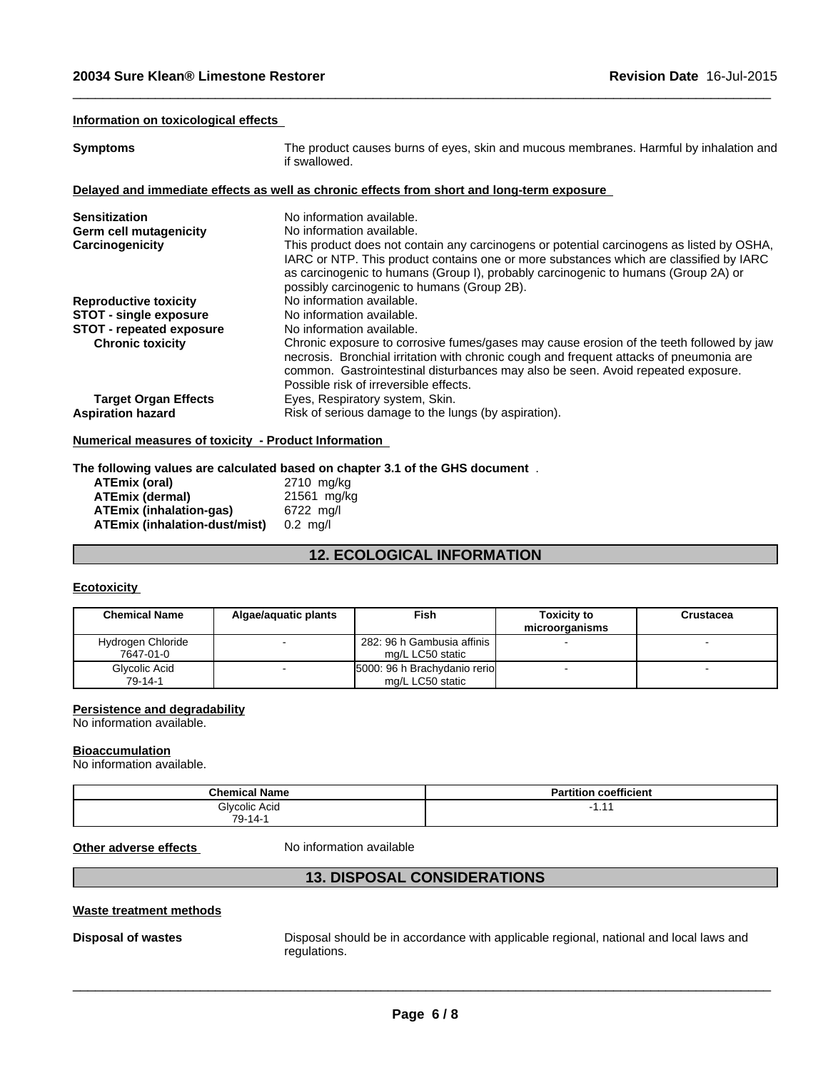#### **Information on toxicological effects**

| <b>Symptoms</b>                 | The product causes burns of eyes, skin and mucous membranes. Harmful by inhalation and<br>if swallowed.                                                                                                                                                                                                                  |
|---------------------------------|--------------------------------------------------------------------------------------------------------------------------------------------------------------------------------------------------------------------------------------------------------------------------------------------------------------------------|
|                                 | Delayed and immediate effects as well as chronic effects from short and long-term exposure                                                                                                                                                                                                                               |
| <b>Sensitization</b>            | No information available.                                                                                                                                                                                                                                                                                                |
| <b>Germ cell mutagenicity</b>   | No information available.                                                                                                                                                                                                                                                                                                |
| Carcinogenicity                 | This product does not contain any carcinogens or potential carcinogens as listed by OSHA,<br>IARC or NTP. This product contains one or more substances which are classified by IARC<br>as carcinogenic to humans (Group I), probably carcinogenic to humans (Group 2A) or<br>possibly carcinogenic to humans (Group 2B). |
| <b>Reproductive toxicity</b>    | No information available.                                                                                                                                                                                                                                                                                                |
| <b>STOT - single exposure</b>   | No information available.                                                                                                                                                                                                                                                                                                |
| <b>STOT - repeated exposure</b> | No information available.                                                                                                                                                                                                                                                                                                |
| <b>Chronic toxicity</b>         | Chronic exposure to corrosive fumes/gases may cause erosion of the teeth followed by jaw<br>necrosis. Bronchial irritation with chronic cough and frequent attacks of pneumonia are<br>common. Gastrointestinal disturbances may also be seen. Avoid repeated exposure.<br>Possible risk of irreversible effects.        |
| <b>Target Organ Effects</b>     | Eyes, Respiratory system, Skin.                                                                                                                                                                                                                                                                                          |
| <b>Aspiration hazard</b>        | Risk of serious damage to the lungs (by aspiration).                                                                                                                                                                                                                                                                     |
|                                 |                                                                                                                                                                                                                                                                                                                          |

 $\_$  ,  $\_$  ,  $\_$  ,  $\_$  ,  $\_$  ,  $\_$  ,  $\_$  ,  $\_$  ,  $\_$  ,  $\_$  ,  $\_$  ,  $\_$  ,  $\_$  ,  $\_$  ,  $\_$  ,  $\_$  ,  $\_$  ,  $\_$  ,  $\_$  ,  $\_$  ,  $\_$  ,  $\_$  ,  $\_$  ,  $\_$  ,  $\_$  ,  $\_$  ,  $\_$  ,  $\_$  ,  $\_$  ,  $\_$  ,  $\_$  ,  $\_$  ,  $\_$  ,  $\_$  ,  $\_$  ,  $\_$  ,  $\_$  ,

#### **Numerical measures of toxicity - Product Information**

#### **The following values are calculated based on chapter 3.1 of the GHS document** .

| ATEmix (oral)                 | 2710 mg/kg         |
|-------------------------------|--------------------|
| ATEmix (dermal)               | 21561 mg/kg        |
| ATEmix (inhalation-ɑas)       | 6722 ma/l          |
| ATEmix (inhalation-dust/mist) | $0.2 \text{ ma/l}$ |

# **12. ECOLOGICAL INFORMATION**

#### **Ecotoxicity**

| <b>Chemical Name</b>           | Algae/aguatic plants | Fish                                             | <b>Toxicity to</b><br>microorganisms | Crustacea |
|--------------------------------|----------------------|--------------------------------------------------|--------------------------------------|-----------|
| Hydrogen Chloride<br>7647-01-0 |                      | 282: 96 h Gambusia affinis 1<br>mg/L LC50 static |                                      |           |
| Glycolic Acid<br>79-14-1       |                      | 5000: 96 h Brachydanio rerio<br>mg/L LC50 static |                                      |           |

# **Persistence and degradability**

No information available.

#### **Bioaccumulation**

No information available.

| <b>Chemical Name</b> | coefficient<br>Partition |
|----------------------|--------------------------|
| Glycolic Acid        | . .                      |
| $79-14-$             |                          |

**Other adverse effects** No information available

# **13. DISPOSAL CONSIDERATIONS**

#### **Waste treatment methods**

**Disposal of wastes** Disposal should be in accordance with applicable regional, national and local laws and regulations.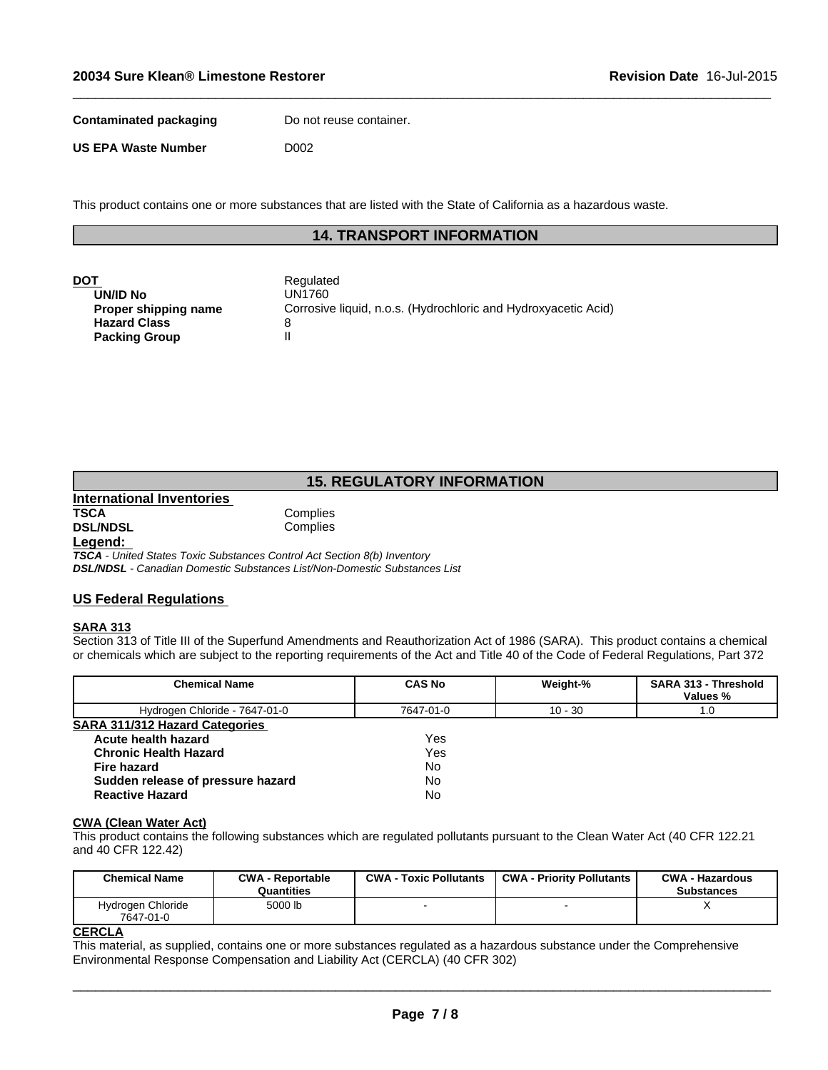**Contaminated packaging Do not reuse container.** 

**US EPA Waste Number** D002

This product contains one or more substances that are listed with the State of California as a hazardous waste.

# **14. TRANSPORT INFORMATION**

 $\_$  ,  $\_$  ,  $\_$  ,  $\_$  ,  $\_$  ,  $\_$  ,  $\_$  ,  $\_$  ,  $\_$  ,  $\_$  ,  $\_$  ,  $\_$  ,  $\_$  ,  $\_$  ,  $\_$  ,  $\_$  ,  $\_$  ,  $\_$  ,  $\_$  ,  $\_$  ,  $\_$  ,  $\_$  ,  $\_$  ,  $\_$  ,  $\_$  ,  $\_$  ,  $\_$  ,  $\_$  ,  $\_$  ,  $\_$  ,  $\_$  ,  $\_$  ,  $\_$  ,  $\_$  ,  $\_$  ,  $\_$  ,  $\_$  ,

| DOT                  | Regulated                                                      |
|----------------------|----------------------------------------------------------------|
|                      | UN1760                                                         |
| UN/ID No             |                                                                |
| Proper shipping name | Corrosive liquid, n.o.s. (Hydrochloric and Hydroxyacetic Acid) |
| <b>Hazard Class</b>  |                                                                |
| <b>Packing Group</b> |                                                                |

# **15. REGULATORY INFORMATION**

**International Inventories TSCA** Complies<br> **DSL/NDSL** Complies **DSL/NDSL** 

# **Legend:**

*TSCA - United States Toxic Substances Control Act Section 8(b) Inventory DSL/NDSL - Canadian Domestic Substances List/Non-Domestic Substances List*

### **US Federal Regulations**

#### **SARA 313**

Section 313 of Title III of the Superfund Amendments and Reauthorization Act of 1986 (SARA). This product contains a chemical or chemicals which are subject to the reporting requirements of the Act and Title 40 of the Code of Federal Regulations, Part 372

| <b>Chemical Name</b>                  | <b>CAS No</b> | Weight-%  | <b>SARA 313 - Threshold</b><br>Values % |
|---------------------------------------|---------------|-----------|-----------------------------------------|
| Hydrogen Chloride - 7647-01-0         | 7647-01-0     | $10 - 30$ | 1.0                                     |
| <b>SARA 311/312 Hazard Categories</b> |               |           |                                         |
| Acute health hazard                   | Yes           |           |                                         |
| <b>Chronic Health Hazard</b>          | Yes           |           |                                         |
| <b>Fire hazard</b>                    | No            |           |                                         |
| Sudden release of pressure hazard     | No            |           |                                         |
| <b>Reactive Hazard</b>                | No            |           |                                         |

#### **CWA (Clean Water Act)**

This product contains the following substances which are regulated pollutants pursuant to the Clean Water Act (40 CFR 122.21 and 40 CFR 122.42)

| <b>Chemical Name</b>           | <b>CWA - Reportable</b><br>Quantities | <b>CWA - Toxic Pollutants</b> | <b>CWA - Priority Pollutants</b> | <b>CWA - Hazardous</b><br><b>Substances</b> |
|--------------------------------|---------------------------------------|-------------------------------|----------------------------------|---------------------------------------------|
| Hydrogen Chloride<br>7647-01-0 | 5000 lb                               |                               |                                  | $\lambda$                                   |
| <b>CERCLA</b>                  |                                       |                               |                                  |                                             |

This material, as supplied, contains one or more substances regulated as a hazardous substance under the Comprehensive Environmental Response Compensation and Liability Act (CERCLA) (40 CFR 302)